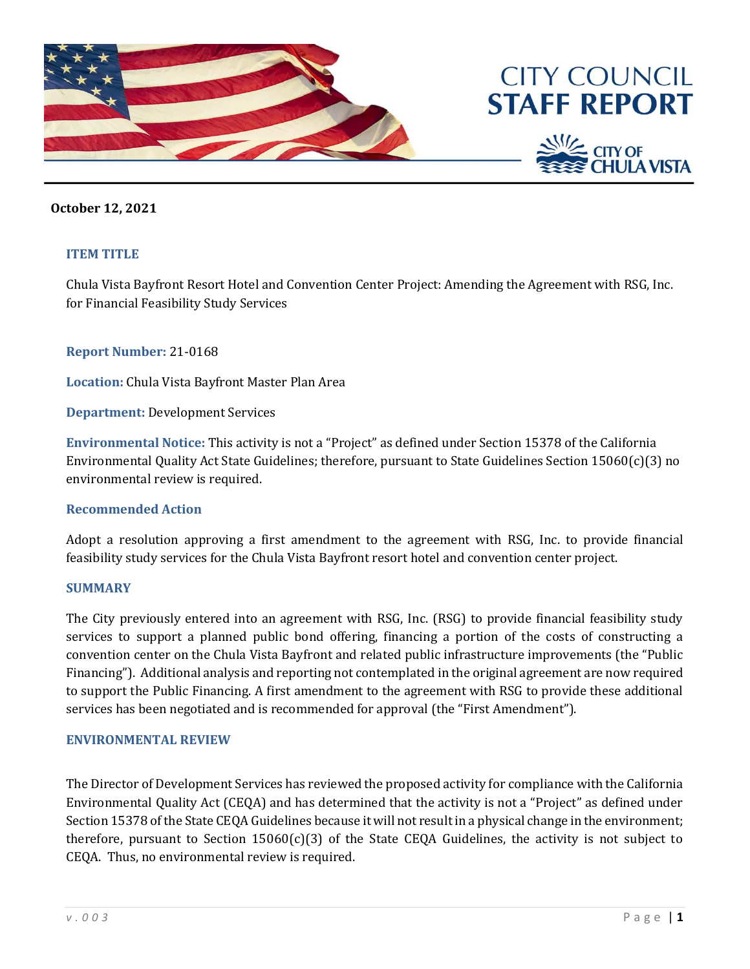

## **October 12, 2021**

### **ITEM TITLE**

Chula Vista Bayfront Resort Hotel and Convention Center Project: Amending the Agreement with RSG, Inc. for Financial Feasibility Study Services

**Report Number:** 21-0168

**Location:** Chula Vista Bayfront Master Plan Area

**Department:** Development Services

**Environmental Notice:** This activity is not a "Project" as defined under Section 15378 of the California Environmental Quality Act State Guidelines; therefore, pursuant to State Guidelines Section 15060(c)(3) no environmental review is required.

### **Recommended Action**

Adopt a resolution approving a first amendment to the agreement with RSG, Inc. to provide financial feasibility study services for the Chula Vista Bayfront resort hotel and convention center project.

#### **SUMMARY**

The City previously entered into an agreement with RSG, Inc. (RSG) to provide financial feasibility study services to support a planned public bond offering, financing a portion of the costs of constructing a convention center on the Chula Vista Bayfront and related public infrastructure improvements (the "Public Financing"). Additional analysis and reporting not contemplated in the original agreement are now required to support the Public Financing. A first amendment to the agreement with RSG to provide these additional services has been negotiated and is recommended for approval (the "First Amendment").

#### **ENVIRONMENTAL REVIEW**

The Director of Development Services has reviewed the proposed activity for compliance with the California Environmental Quality Act (CEQA) and has determined that the activity is not a "Project" as defined under Section 15378 of the State CEQA Guidelines because it will not result in a physical change in the environment; therefore, pursuant to Section  $15060(c)(3)$  of the State CEQA Guidelines, the activity is not subject to CEQA. Thus, no environmental review is required.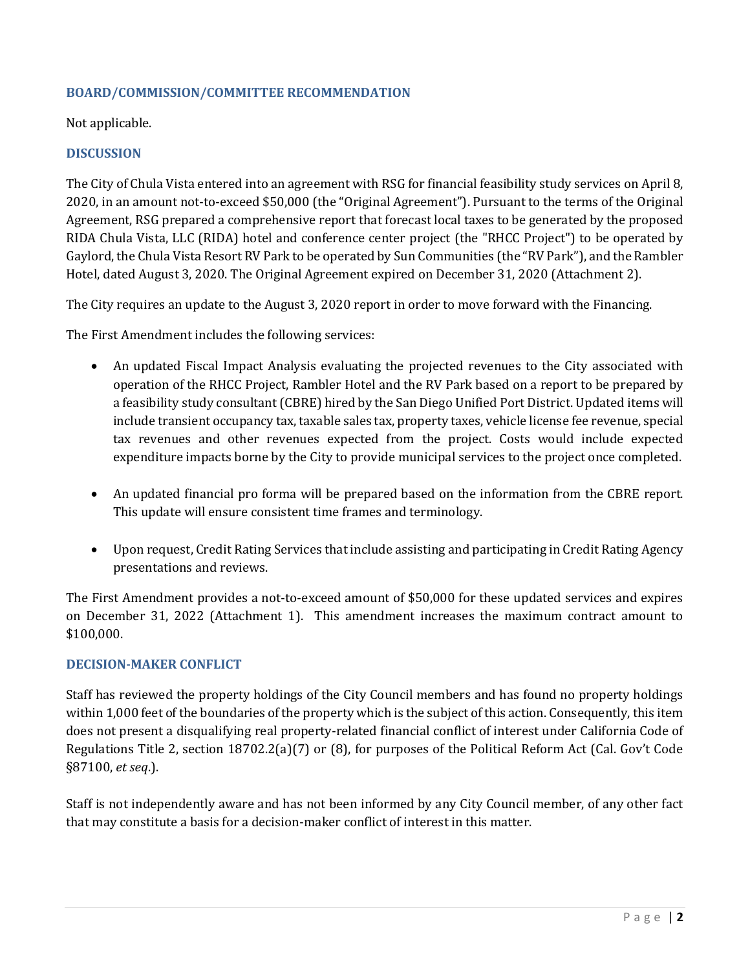## **BOARD/COMMISSION/COMMITTEE RECOMMENDATION**

Not applicable.

## **DISCUSSION**

The City of Chula Vista entered into an agreement with RSG for financial feasibility study services on April 8, 2020, in an amount not-to-exceed \$50,000 (the "Original Agreement"). Pursuant to the terms of the Original Agreement, RSG prepared a comprehensive report that forecast local taxes to be generated by the proposed RIDA Chula Vista, LLC (RIDA) hotel and conference center project (the "RHCC Project") to be operated by Gaylord, the Chula Vista Resort RV Park to be operated by Sun Communities (the "RV Park"), and the Rambler Hotel, dated August 3, 2020. The Original Agreement expired on December 31, 2020 (Attachment 2).

The City requires an update to the August 3, 2020 report in order to move forward with the Financing.

The First Amendment includes the following services:

- An updated Fiscal Impact Analysis evaluating the projected revenues to the City associated with operation of the RHCC Project, Rambler Hotel and the RV Park based on a report to be prepared by a feasibility study consultant (CBRE) hired by the San Diego Unified Port District. Updated items will include transient occupancy tax, taxable sales tax, property taxes, vehicle license fee revenue, special tax revenues and other revenues expected from the project. Costs would include expected expenditure impacts borne by the City to provide municipal services to the project once completed.
- An updated financial pro forma will be prepared based on the information from the CBRE report. This update will ensure consistent time frames and terminology.
- Upon request, Credit Rating Services that include assisting and participating in Credit Rating Agency presentations and reviews.

The First Amendment provides a not-to-exceed amount of \$50,000 for these updated services and expires on December 31, 2022 (Attachment 1). This amendment increases the maximum contract amount to \$100,000.

### **DECISION-MAKER CONFLICT**

Staff has reviewed the property holdings of the City Council members and has found no property holdings within 1,000 feet of the boundaries of the property which is the subject of this action. Consequently, this item does not present a disqualifying real property-related financial conflict of interest under California Code of Regulations Title 2, section 18702.2(a)(7) or (8), for purposes of the Political Reform Act (Cal. Gov't Code §87100, *et seq*.).

Staff is not independently aware and has not been informed by any City Council member, of any other fact that may constitute a basis for a decision-maker conflict of interest in this matter.